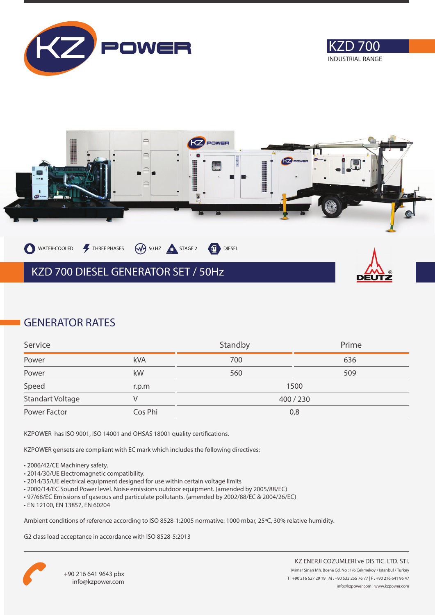





### **GENERATOR RATES**

| Service          |         | Standby   | Prime |
|------------------|---------|-----------|-------|
| Power            | kVA     | 700       | 636   |
| Power            | kW      | 560       | 509   |
| Speed            | r.p.m   | 1500      |       |
| Standart Voltage |         | 400 / 230 |       |
| Power Factor     | Cos Phi | 0,8       |       |

KZPOWER has ISO 9001, ISO 14001 and OHSAS 18001 quality certifications.

KZPOWER gensets are compliant with EC mark which includes the following directives:

- 2006/42/CE Machinery safety.
- 2014/30/UE Electromagnetic compatibility.
- 2014/35/UE electrical equipment designed for use within certain voltage limits
- 2000/14/EC Sound Power level. Noise emissions outdoor equipment. (amended by 2005/88/EC)
- 97/68/EC Emissions of gaseous and particulate pollutants. (amended by 2002/88/EC & 2004/26/EC)
- EN 12100, EN 13857, EN 60204

Ambient conditions of reference according to ISO 8528-1:2005 normative: 1000 mbar, 25ºC, 30% relative humidity.

G2 class load acceptance in accordance with ISO 8528-5:2013

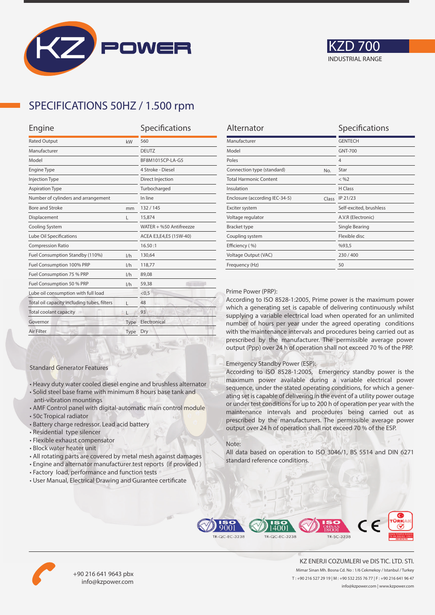



## **SPECIFICATIONS 50HZ / 1.500 rpm**

| Engine                                      | Specifications |                         |
|---------------------------------------------|----------------|-------------------------|
| <b>Rated Output</b>                         | kW             | 560                     |
| Manufacturer                                |                | <b>DEUTZ</b>            |
| Model                                       |                | BF8M1015CP-LA-G5        |
| <b>Engine Type</b>                          |                | 4 Stroke - Diesel       |
| <b>Injection Type</b>                       |                | Direct Injection        |
| <b>Aspiration Type</b>                      |                | Turbocharged            |
| Number of cylinders and arrangement         |                | In line                 |
| <b>Bore and Stroke</b>                      | mm             | 132/145                 |
| Displacement                                | L              | 15,874                  |
| Cooling System                              |                | WATER + %50 Antifreezze |
| Lube Oil Specifications                     |                | ACEA E3,E4,E5 (15W-40)  |
| <b>Compression Ratio</b>                    |                | 16.50:1                 |
| Fuel Consumption Standby (110%)             | 1/h            | 130,64                  |
| Fuel Consumption 100% PRP                   | 1/h            | 118,77                  |
| Fuel Consumption 75 % PRP                   | 1/h            | 89,08                   |
| Fuel Consumption 50 % PRP<br>1/h            |                | 59,38                   |
| Lube oil consumption with full load         |                | < 0.5                   |
| Total oil capacity including tubes, filters | L              | 48                      |
| Total coolant capacity                      |                | 93                      |
| Governor                                    | Type           | Electronical            |
| Air Filter                                  | Type           | Dry                     |
|                                             |                |                         |

| Alternator                              | Specifications          |
|-----------------------------------------|-------------------------|
| Manufacturer                            | <b>GENTECH</b>          |
| Model                                   | <b>GNT-700</b>          |
| Poles                                   | $\overline{4}$          |
| Connection type (standard)<br>No.       | Star                    |
| <b>Total Harmonic Content</b>           | $<$ %2                  |
| Insulation                              | H Class                 |
| Enclosure (according IEC-34-5)<br>Class | IP 21/23                |
| Exciter system                          | Self-excited, brushless |
| Voltage regulator                       | A.V.R (Electronic)      |
| <b>Bracket type</b>                     | Single Bearing          |
| Coupling system                         | Flexible disc           |
| Efficiency (%)                          | %93,5                   |
| Voltage Output (VAC)                    | 230/400                 |
| Frequency (Hz)                          | 50                      |

#### Prime Power (PRP):

According to ISO 8528-1:2005, Prime power is the maximum power which a generating set is capable of delivering continuously whilst supplying a variable electrical load when operated for an unlimited number of hours per year under the agreed operating conditions with the maintenance intervals and procedures being carried out as prescribed by the manufacturer. The permissible average power output (Ppp) over 24 h of operation shall not exceed 70 % of the PRP.

#### Emergency Standby Power (ESP):

According to ISO 8528-1:2005, Emergency standby power is the maximum power available during a variable electrical power sequence, under the stated operating conditions, for which a generating set is capable of delivering in the event of a utility power outage or under test conditions for up to 200 h of operation per year with the maintenance intervals and procedures being carried out as prescribed by the manufacturers. The permissible average power output over 24 h of operation shall not exceed 70 % of the ESP.

#### Note:

All data based on operation to ISO 3046/1, BS 5514 and DIN 6271 standard reference conditions.



• All rotating parts are covered by metal mesh against damages

• Heavy duty water cooled diesel engine and brushless alternator • Solid steel base frame with minimum 8 hours base tank and

• AMF Control panel with digital-automatic main control module

• User Manual, Electrical Drawing and Gurantee certificate

Standard Generator Features

anti-vibration mountings

• Residential type silencer • Flexible exhaust compensator • Block water heater unit

• Battery charge redressor. Lead acid battery

• 50c Tropical radiator





+90 216 641 9643 pbx info@kzpower.com

KZ ENERJI COZUMLERI ve DIS TIC. LTD. STI. Mimar Sinan Mh. Bosna Cd. No : 1/6 Cekmekoy / Istanbul / Turkey T : +90 216 527 29 19 | M : +90 532 255 76 77 | F : +90 216 641 96 47 info@kzpower.com | www.kzpower.com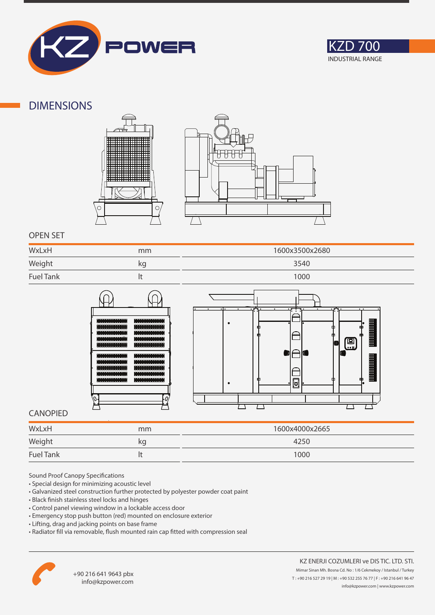



### **DIMENSIONS**





### **OPEN SET**

| WxLxH            | mm | 1600x3500x2680 |
|------------------|----|----------------|
| Weight           | kg | 3540           |
| <b>Fuel Tank</b> |    | 1000           |





### **CANOPIED**

| WxLxH            | mm | 1600x4000x2665 |
|------------------|----|----------------|
| Weight           | kg | 4250           |
| <b>Fuel Tank</b> |    | 1000           |

Sound Proof Canopy Specifications

- Special design for minimizing acoustic level
- Galvanized steel construction further protected by polyester powder coat paint
- Black finish stainless steel locks and hinges
- Control panel viewing window in a lockable access door
- Emergency stop push button (red) mounted on enclosure exterior
- Lifting, drag and jacking points on base frame
- Radiator fill via removable, flush mounted rain cap fitted with compression seal